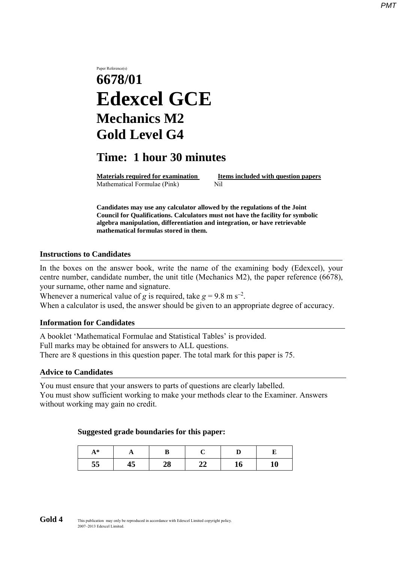# Paper Reference(s) **6678/01 Edexcel GCE Mechanics M2 Gold Level G4**

# **Time: 1 hour 30 minutes**

**Materials required for examination Items included with question papers** Mathematical Formulae (Pink)Nil

**Candidates may use any calculator allowed by the regulations of the Joint Council for Qualifications. Calculators must not have the facility for symbolic algebra manipulation, differentiation and integration, or have retrievable mathematical formulas stored in them.**

### **Instructions to Candidates**

In the boxes on the answer book, write the name of the examining body (Edexcel), your centre number, candidate number, the unit title (Mechanics M2), the paper reference (6678), your surname, other name and signature.

Whenever a numerical value of *g* is required, take  $g = 9.8$  m s<sup>-2</sup>.

When a calculator is used, the answer should be given to an appropriate degree of accuracy.

### **Information for Candidates**

A booklet 'Mathematical Formulae and Statistical Tables' is provided. Full marks may be obtained for answers to ALL questions. There are 8 questions in this question paper. The total mark for this paper is 75.

#### **Advice to Candidates**

You must ensure that your answers to parts of questions are clearly labelled. You must show sufficient working to make your methods clear to the Examiner. Answers without working may gain no credit.

#### **Suggested grade boundaries for this paper:**

| $A^*$ | . . |           |   |    |    |
|-------|-----|-----------|---|----|----|
| 55    | 45  | NQ.<br>40 | ◢ | 10 | πv |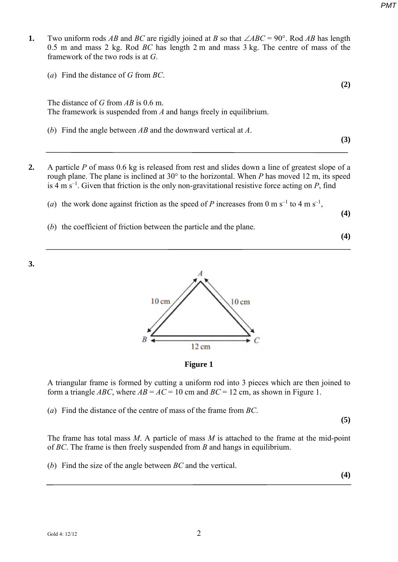**1.** Two uniform rods *AB* and *BC* are rigidly joined at *B* so that ∠*ABC* = 90°. Rod *AB* has length 0.5 m and mass 2 kg. Rod *BC* has length 2 m and mass 3 kg. The centre of mass of the framework of the two rods is at *G*.

| (a) Find the distance of G from $BC$ . |     |
|----------------------------------------|-----|
|                                        | (2) |
|                                        |     |

The distance of *G* from *AB* is 0.6 m. The framework is suspended from *A* and hangs freely in equilibrium.

- (*b*) Find the angle between *AB* and the downward vertical at *A*.
- **2.** A particle *P* of mass 0.6 kg is released from rest and slides down a line of greatest slope of a rough plane. The plane is inclined at 30° to the horizontal. When *P* has moved 12 m, its speed is 4 m  $s^{-1}$ . Given that friction is the only non-gravitational resistive force acting on *P*, find
	- (*a*) the work done against friction as the speed of *P* increases from 0 m s<sup>-1</sup> to 4 m s<sup>-1</sup>,
	- (*b*) the coefficient of friction between the particle and the plane.

**(4)**

**(4)**

**(3)**





# **Figure 1**

A triangular frame is formed by cutting a uniform rod into 3 pieces which are then joined to form a triangle *ABC*, where  $AB = AC = 10$  cm and  $BC = 12$  cm, as shown in Figure 1.

(*a*) Find the distance of the centre of mass of the frame from *BC*.

**(5)**

The frame has total mass *M*. A particle of mass *M* is attached to the frame at the mid-point of *BC*. The frame is then freely suspended from *B* and hangs in equilibrium.

(*b*) Find the size of the angle between *BC* and the vertical.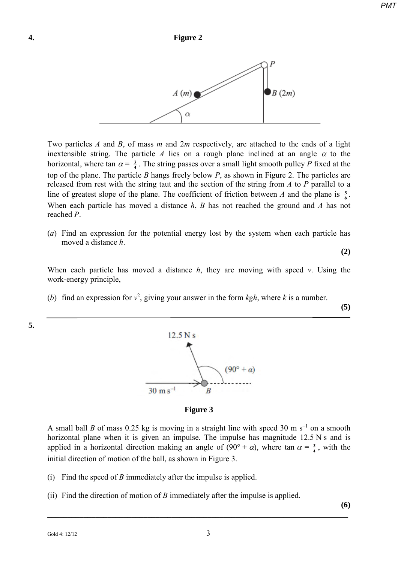

Two particles *A* and *B*, of mass *m* and 2*m* respectively, are attached to the ends of a light inextensible string. The particle  $A$  lies on a rough plane inclined at an angle  $\alpha$  to the horizontal, where tan  $\alpha = \frac{3}{4}$ . The string passes over a small light smooth pulley *P* fixed at the top of the plane. The particle *B* hangs freely below *P*, as shown in Figure 2. The particles are released from rest with the string taut and the section of the string from *A* to *P* parallel to a line of greatest slope of the plane. The coefficient of friction between *A* and the plane is  $\frac{5}{8}$ . When each particle has moved a distance *h*, *B* has not reached the ground and *A* has not reached *P*.

(*a*) Find an expression for the potential energy lost by the system when each particle has moved a distance *h*.

**(2)**

When each particle has moved a distance *h*, they are moving with speed *v*. Using the work-energy principle,

(*b*) find an expression for  $v^2$ , giving your answer in the form *kgh*, where *k* is a number.

**(5)**



**Figure 3**

A small ball *B* of mass 0.25 kg is moving in a straight line with speed 30 m s<sup>-1</sup> on a smooth horizontal plane when it is given an impulse. The impulse has magnitude 12.5 N s and is applied in a horizontal direction making an angle of  $(90^{\circ} + \alpha)$ , where tan  $\alpha = \frac{3}{4}$ , with the initial direction of motion of the ball, as shown in Figure 3.

- (i) Find the speed of *B* immediately after the impulse is applied.
- (ii) Find the direction of motion of *B* immediately after the impulse is applied.

**(6)**

**\_\_\_\_\_\_\_\_\_\_\_\_\_\_\_\_\_\_\_\_\_\_\_\_\_\_\_\_\_\_\_\_\_\_\_\_\_\_\_\_\_\_\_\_\_\_\_\_\_\_\_\_\_\_\_\_\_\_\_\_\_\_\_\_\_\_\_\_\_\_\_\_\_\_\_** 

**5.**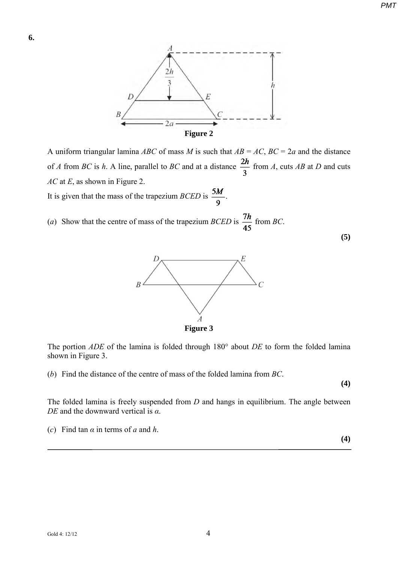

A uniform triangular lamina *ABC* of mass *M* is such that  $AB = AC$ ,  $BC = 2a$  and the distance of *A* from *BC* is *h*. A line, parallel to *BC* and at a distance  $\frac{2h}{3}$  from *A*, cuts *AB* at *D* and cuts *AC* at *E*, as shown in Figure 2.

It is given that the mass of the trapezium *BCED* is  $\frac{5M}{9}$ .

(*a*) Show that the centre of mass of the trapezium *BCED* is  $\frac{7h}{45}$  from *BC*.



The portion *ADE* of the lamina is folded through 180° about *DE* to form the folded lamina shown in Figure 3.

(*b*) Find the distance of the centre of mass of the folded lamina from *BC*.

**(4)**

**(4)**

**(5)**

The folded lamina is freely suspended from *D* and hangs in equilibrium. The angle between *DE* and the downward vertical is *α*.

(*c*) Find tan *α* in terms of *a* and *h*.

*PMT*

**6.**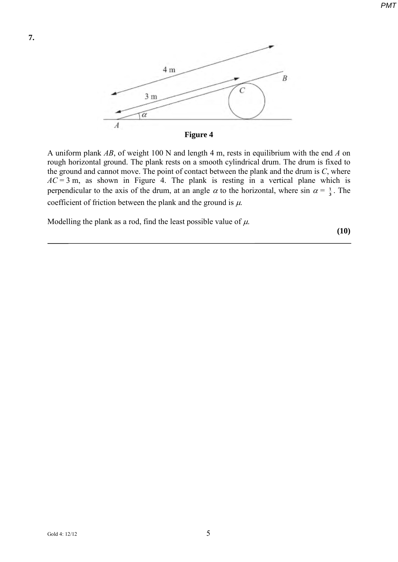

A uniform plank *AB*, of weight 100 N and length 4 m, rests in equilibrium with the end *A* on rough horizontal ground. The plank rests on a smooth cylindrical drum. The drum is fixed to the ground and cannot move. The point of contact between the plank and the drum is *C*, where  $AC = 3$  m, as shown in Figure 4. The plank is resting in a vertical plane which is perpendicular to the axis of the drum, at an angle  $\alpha$  to the horizontal, where sin  $\alpha = \frac{1}{3}$ . The coefficient of friction between the plank and the ground is  $\mu$ .

Modelling the plank as a rod, find the least possible value of  $\mu$ .

**(10)** 

**7.**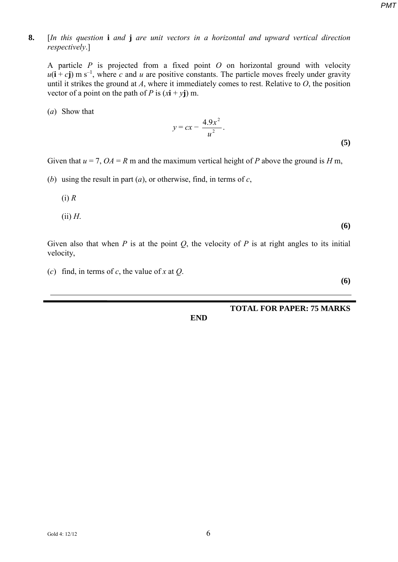# **8.** [*In this question* **i** *and* **j** *are unit vectors in a horizontal and upward vertical direction respectively*.]

A particle *P* is projected from a fixed point *O* on horizontal ground with velocity  $u(i + cj)$  m s<sup>-1</sup>, where *c* and *u* are positive constants. The particle moves freely under gravity until it strikes the ground at *A*, where it immediately comes to rest. Relative to *O*, the position vector of a point on the path of *P* is  $(x\mathbf{i} + y\mathbf{j})$  m.

(*a*) Show that

$$
y = cx - \frac{4.9x^2}{u^2}.
$$
 (5)

Given that  $u = 7$ ,  $OA = R$  m and the maximum vertical height of *P* above the ground is *H* m,

- (*b*) using the result in part (*a*), or otherwise, find, in terms of *c*,
	- (i) *R*
	- (ii) *H*.

Given also that when  $P$  is at the point  $Q$ , the velocity of  $P$  is at right angles to its initial velocity,

(*c*) find, in terms of *c*, the value of *x* at *Q*.

**(6)**

**(6)**

# **TOTAL FOR PAPER: 75 MARKS**

**END**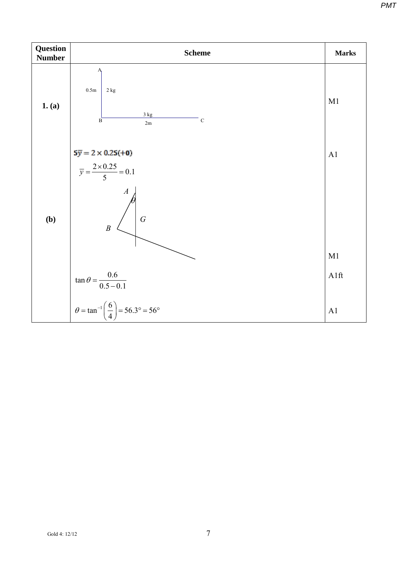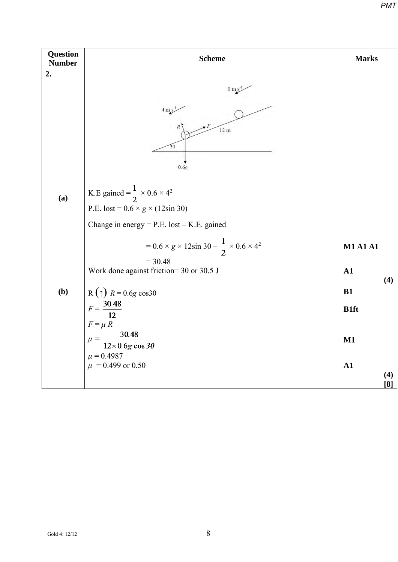| <b>Question</b><br><b>Number</b> | <b>Scheme</b>                                                                                                                                                                                                                     | <b>Marks</b>                                          |
|----------------------------------|-----------------------------------------------------------------------------------------------------------------------------------------------------------------------------------------------------------------------------------|-------------------------------------------------------|
| 2.<br>(a)                        | $0 \text{ m/s}^2$<br>$4 \text{ m/s}$<br>$12 \text{ m}$<br>30<br>0.6g<br>K.E gained = $\frac{1}{2} \times 0.6 \times 4^2$                                                                                                          |                                                       |
|                                  | P.E. lost = $0.6 \times g \times (12\sin 30)$<br>Change in energy = $P.E.$ lost $- K.E.$ gained<br>$= 0.6 \times g \times 12\sin 30 - \frac{1}{2} \times 0.6 \times 4^2$<br>$= 30.48$<br>Work done against friction= 30 or 30.5 J | <b>M1 A1 A1</b><br>${\bf A1}$<br>(4)                  |
| (b)                              | R( $\uparrow$ ) $R = 0.6g \cos 30$<br>$F = \frac{30.48}{12}$<br>$F = \mu R$<br>$\frac{30.48}{12\times0.6g\cos 3\theta}$<br>$\mu =$<br>$\mu = 0.4987$<br>$\mu$ = 0.499 or 0.50                                                     | B1<br><b>B1ft</b><br>$M1$<br>${\bf A1}$<br>(4)<br>[8] |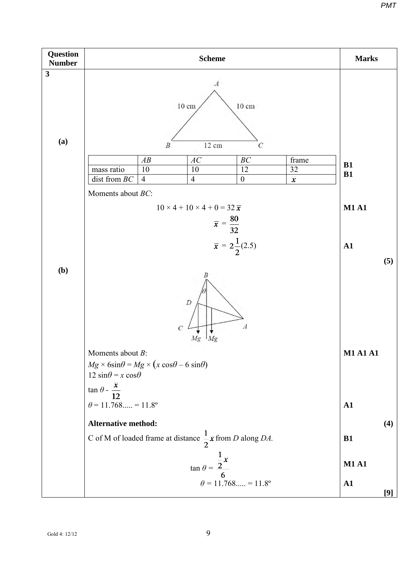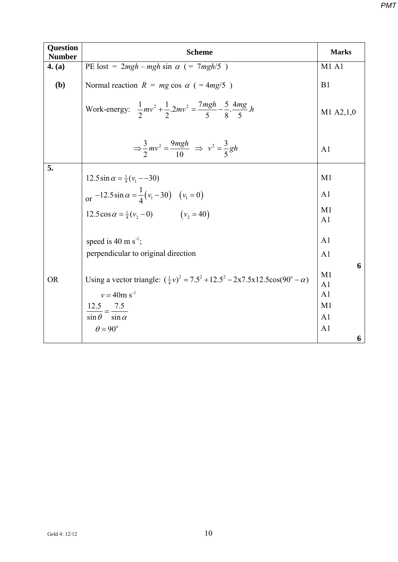| 4. (a)    | PE lost = $2mgh - mgh \sin \alpha$ (= $7mgh/5$ )                                                                                                                                                              | <b>M1 A1</b>                                                                               |
|-----------|---------------------------------------------------------------------------------------------------------------------------------------------------------------------------------------------------------------|--------------------------------------------------------------------------------------------|
|           |                                                                                                                                                                                                               |                                                                                            |
| (b)       | Normal reaction $R = mg \cos \alpha$ ( = 4mg/5)                                                                                                                                                               | B1                                                                                         |
|           | Work-energy: $\frac{1}{2}mv^2 + \frac{1}{2}2mv^2 = \frac{7mgh}{5} - \frac{5}{8} \cdot \frac{4mg}{5}h$                                                                                                         | M1 A2,1,0                                                                                  |
|           | $\Rightarrow \frac{3}{2}mv^2 = \frac{9mgh}{10} \Rightarrow v^2 = \frac{3}{5}gh$                                                                                                                               | A <sub>1</sub>                                                                             |
| 5.        |                                                                                                                                                                                                               | M1                                                                                         |
|           | $12.5\sin\alpha = \frac{1}{4}(v_1 - 30)$                                                                                                                                                                      |                                                                                            |
|           | or $-12.5 \sin \alpha = \frac{1}{4} (v_1 - 30)$ $(v_1 = 0)$                                                                                                                                                   | A <sub>1</sub>                                                                             |
|           | 12.5 cos $\alpha = \frac{1}{4}(v_2 - 0)$ $(v_2 = 40)$                                                                                                                                                         | M1<br>A <sub>1</sub>                                                                       |
|           | speed is 40 m $s^{-1}$ ;                                                                                                                                                                                      | A <sub>1</sub>                                                                             |
|           | perpendicular to original direction                                                                                                                                                                           | A <sub>1</sub>                                                                             |
| <b>OR</b> | Using a vector triangle: $(\frac{1}{4}v)^2 = 7.5^2 + 12.5^2 - 2x7.5x12.5\cos(90^\circ - \alpha)$<br>$v = 40$ m s <sup>-1</sup><br>$\frac{12.5}{\sin \theta} = \frac{7.5}{\sin \alpha}$<br>$\theta = 90^\circ$ | 6<br>M1<br>A <sub>1</sub><br>A1<br>M <sub>1</sub><br>A <sub>1</sub><br>A <sub>1</sub><br>6 |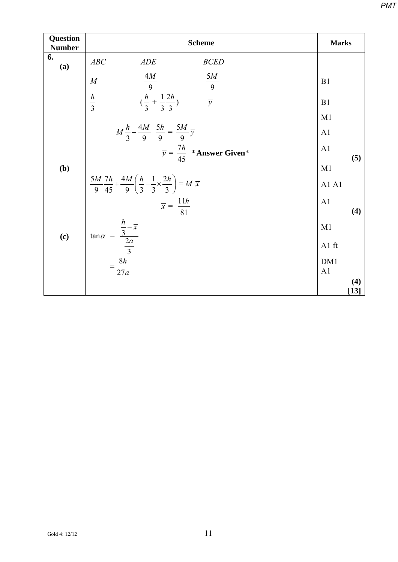| Question<br><b>Number</b> | <b>Scheme</b>                                                                                                         | <b>Marks</b>          |
|---------------------------|-----------------------------------------------------------------------------------------------------------------------|-----------------------|
| 6.<br>(a)                 | ABC<br>ADE<br><b>BCED</b>                                                                                             |                       |
|                           | $\frac{4M}{9}$<br>$\frac{5M}{9}$<br>M                                                                                 | B1                    |
|                           | $(\frac{h}{3} + \frac{1}{3}\frac{2h}{3})$<br>$\frac{h}{3}$<br>$\overline{y}$                                          | B1                    |
|                           |                                                                                                                       | M1                    |
|                           | $M\frac{h}{3}-\frac{4M}{9}\frac{5h}{9}=\frac{5M}{9}\overline{y}$                                                      | A <sub>1</sub>        |
|                           | $\overline{y} = \frac{7h}{45}$ * Answer Given*                                                                        | A1<br>(5)             |
| (b)                       |                                                                                                                       | M1                    |
|                           | $\frac{5M}{9}\frac{7h}{45} + \frac{4M}{9}\left(\frac{h}{3} - \frac{1}{3} \times \frac{2h}{3}\right) = M \overline{x}$ | Al Al                 |
|                           | $\overline{x} = \frac{11h}{81}$                                                                                       | A <sub>1</sub><br>(4) |
|                           |                                                                                                                       | M1                    |
| (c)                       | $\tan \alpha = \frac{\frac{h}{3} - \overline{x}}{\frac{2a}{3}}$                                                       | A1 ft                 |
|                           | $\frac{8h}{2}$                                                                                                        | DM1                   |
|                           | 27a                                                                                                                   | A1<br>(4)             |
|                           |                                                                                                                       | $[13]$                |

*PMT*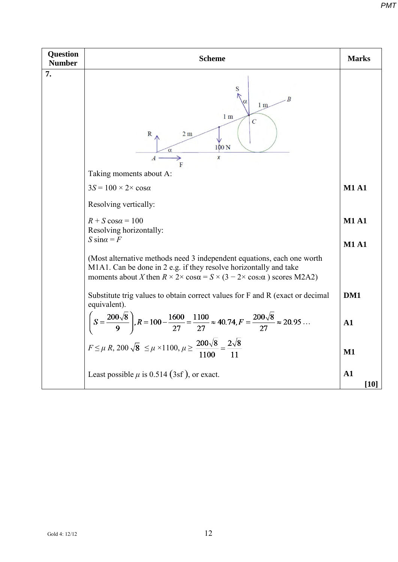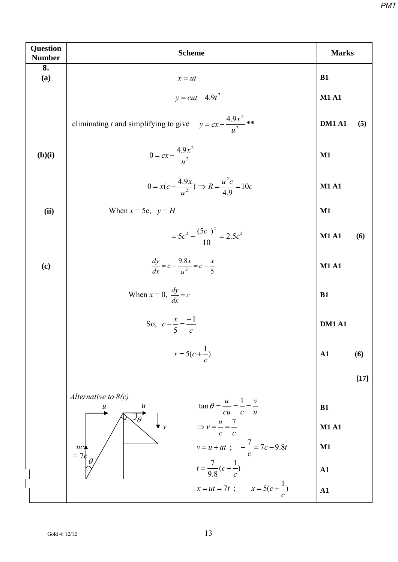| Question<br><b>Number</b> | <b>Scheme</b>                                                                                                             | <b>Marks</b>         |  |
|---------------------------|---------------------------------------------------------------------------------------------------------------------------|----------------------|--|
| 8.<br>(a)                 | $x = ut$                                                                                                                  | <b>B1</b>            |  |
|                           | $y = cut - 4.9t^2$                                                                                                        | <b>M1 A1</b>         |  |
|                           | eliminating t and simplifying to give $y = cx - \frac{4.9x^2}{u^2}$ **                                                    | <b>DM1 A1</b><br>(5) |  |
| (b)(i)                    | $0 = cx - \frac{4.9x^2}{u^2}$                                                                                             | $\mathbf{M1}$        |  |
|                           | $0 = x(c - \frac{4.9x}{u^2}) \Rightarrow R = \frac{u^2c}{4.9} = 10c$                                                      | <b>M1 A1</b>         |  |
| (ii)                      | When $x = 5c$ , $y = H$                                                                                                   | $\mathbf{M1}$        |  |
|                           | $=5c^2-\frac{(5c)^2}{10}=2.5c^2$                                                                                          | <b>M1 A1</b><br>(6)  |  |
| (c)                       | $\frac{dy}{dx} = c - \frac{9.8x}{u^2} = c - \frac{x}{5}$                                                                  | <b>M1 A1</b>         |  |
|                           | When $x = 0$ , $\frac{dy}{dx} = c$                                                                                        | B1                   |  |
|                           | So, $c - \frac{x}{5} = \frac{-1}{c}$                                                                                      | <b>DM1 A1</b>        |  |
|                           | $x = 5(c + \frac{1}{c})$                                                                                                  | A1<br>(6)            |  |
|                           |                                                                                                                           | $[17]$               |  |
|                           | Alternative to $8(c)$<br>$\tan \theta = \frac{u}{cu} = \frac{1}{c} = \frac{v}{u}$<br>$\boldsymbol{u}$<br>$\boldsymbol{u}$ | B1                   |  |
|                           | $\theta$<br>$\Rightarrow v = \frac{u}{c} = \frac{7}{c}$<br>$\mathbf{v}$                                                   | <b>M1 A1</b>         |  |
|                           | $v = u + at$ ; $-\frac{7}{c} = 7c - 9.8t$<br>$\frac{uc}{7}$                                                               | $\mathbf{M1}$        |  |
|                           | $t = \frac{7}{9.8}(c + \frac{1}{c})$                                                                                      | ${\bf A1}$           |  |
|                           | $x = ut = 7t$ ; $x = 5(c + \frac{1}{c})$                                                                                  | ${\bf A1}$           |  |

*PMT*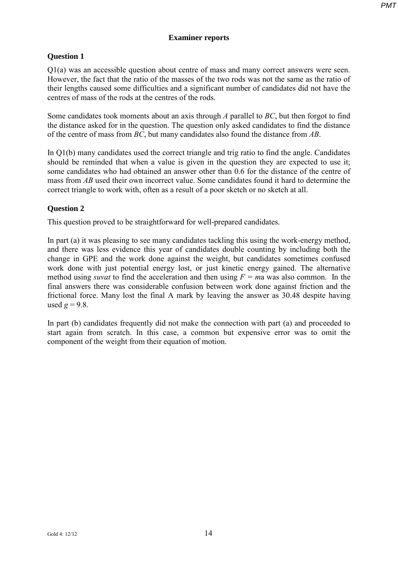# **Examiner reports**

# **Question 1**

Q1(a) was an accessible question about centre of mass and many correct answers were seen. However, the fact that the ratio of the masses of the two rods was not the same as the ratio of their lengths caused some difficulties and a significant number of candidates did not have the centres of mass of the rods at the centres of the rods.

Some candidates took moments about an axis through *A* parallel to *BC*, but then forgot to find the distance asked for in the question. The question only asked candidates to find the distance of the centre of mass from *BC*, but many candidates also found the distance from *AB*.

In Q1(b) many candidates used the correct triangle and trig ratio to find the angle. Candidates should be reminded that when a value is given in the question they are expected to use it; some candidates who had obtained an answer other than 0.6 for the distance of the centre of mass from *AB* used their own incorrect value. Some candidates found it hard to determine the correct triangle to work with, often as a result of a poor sketch or no sketch at all.

# **Question 2**

This question proved to be straightforward for well-prepared candidates.

In part (a) it was pleasing to see many candidates tackling this using the work-energy method, and there was less evidence this year of candidates double counting by including both the change in GPE and the work done against the weight, but candidates sometimes confused work done with just potential energy lost, or just kinetic energy gained. The alternative method using *suvat* to find the acceleration and then using *F = m*a was also common. In the final answers there was considerable confusion between work done against friction and the frictional force. Many lost the final A mark by leaving the answer as 30.48 despite having used  $g = 9.8$ .

In part (b) candidates frequently did not make the connection with part (a) and proceeded to start again from scratch. In this case, a common but expensive error was to omit the component of the weight from their equation of motion.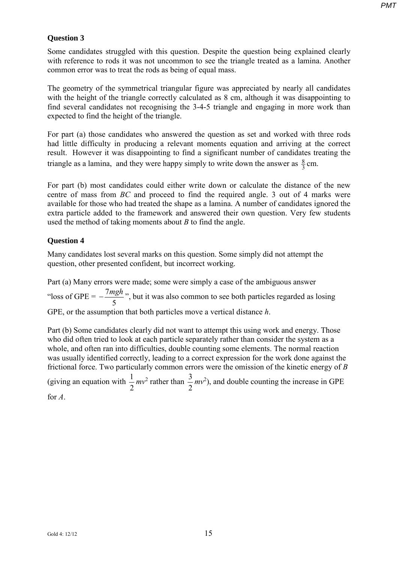## **Question 3**

Some candidates struggled with this question. Despite the question being explained clearly with reference to rods it was not uncommon to see the triangle treated as a lamina. Another common error was to treat the rods as being of equal mass.

The geometry of the symmetrical triangular figure was appreciated by nearly all candidates with the height of the triangle correctly calculated as 8 cm, although it was disappointing to find several candidates not recognising the 3-4-5 triangle and engaging in more work than expected to find the height of the triangle.

For part (a) those candidates who answered the question as set and worked with three rods had little difficulty in producing a relevant moments equation and arriving at the correct result. However it was disappointing to find a significant number of candidates treating the triangle as a lamina, and they were happy simply to write down the answer as  $\frac{8}{3}$  cm.

For part (b) most candidates could either write down or calculate the distance of the new centre of mass from *BC* and proceed to find the required angle. 3 out of 4 marks were available for those who had treated the shape as a lamina. A number of candidates ignored the extra particle added to the framework and answered their own question. Very few students used the method of taking moments about *B* to find the angle.

# **Question 4**

Many candidates lost several marks on this question. Some simply did not attempt the question, other presented confident, but incorrect working.

Part (a) Many errors were made; some were simply a case of the ambiguous answer "loss of  $GPE =$ 5 <sup>-</sup> <sup>7</sup>*mgh* ⋅ but it was also common to see both particles regarded as losing GPE, or the assumption that both particles move a vertical distance *h*.

Part (b) Some candidates clearly did not want to attempt this using work and energy. Those who did often tried to look at each particle separately rather than consider the system as a whole, and often ran into difficulties, double counting some elements. The normal reaction was usually identified correctly, leading to a correct expression for the work done against the frictional force. Two particularly common errors were the omission of the kinetic energy of *B* (giving an equation with  $\frac{1}{2}$ 2  $mv^2$  rather than  $\frac{3}{2}$ 2  $mv<sup>2</sup>$ ), and double counting the increase in GPE for *A*.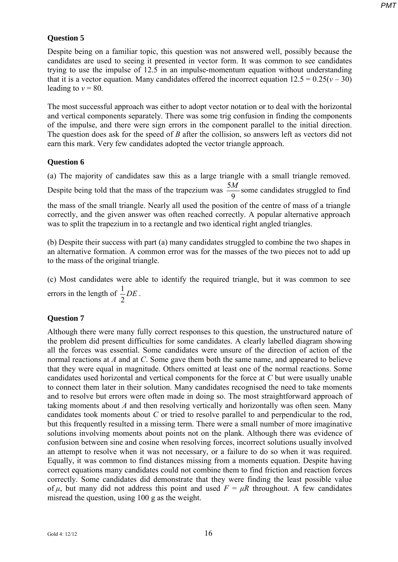# **Question 5**

Despite being on a familiar topic, this question was not answered well, possibly because the candidates are used to seeing it presented in vector form. It was common to see candidates trying to use the impulse of 12.5 in an impulse-momentum equation without understanding that it is a vector equation. Many candidates offered the incorrect equation  $12.5 = 0.25(v - 30)$ leading to  $v = 80$ .

The most successful approach was either to adopt vector notation or to deal with the horizontal and vertical components separately. There was some trig confusion in finding the components of the impulse, and there were sign errors in the component parallel to the initial direction. The question does ask for the speed of *B* after the collision, so answers left as vectors did not earn this mark. Very few candidates adopted the vector triangle approach.

## **Question 6**

(a) The majority of candidates saw this as a large triangle with a small triangle removed.

Despite being told that the mass of the trapezium was  $\frac{5}{5}$ 9  $\frac{M}{2}$  some candidates struggled to find

the mass of the small triangle. Nearly all used the position of the centre of mass of a triangle correctly, and the given answer was often reached correctly. A popular alternative approach was to split the trapezium in to a rectangle and two identical right angled triangles.

(b) Despite their success with part (a) many candidates struggled to combine the two shapes in an alternative formation. A common error was for the masses of the two pieces not to add up to the mass of the original triangle.

(c) Most candidates were able to identify the required triangle, but it was common to see errors in the length of  $\frac{1}{2}$ 2 *DE* .

### **Question 7**

Although there were many fully correct responses to this question, the unstructured nature of the problem did present difficulties for some candidates. A clearly labelled diagram showing all the forces was essential. Some candidates were unsure of the direction of action of the normal reactions at *A* and at *C*. Some gave them both the same name, and appeared to believe that they were equal in magnitude. Others omitted at least one of the normal reactions. Some candidates used horizontal and vertical components for the force at *C* but were usually unable to connect them later in their solution. Many candidates recognised the need to take moments and to resolve but errors were often made in doing so. The most straightforward approach of taking moments about *A* and then resolving vertically and horizontally was often seen. Many candidates took moments about *C* or tried to resolve parallel to and perpendicular to the rod, but this frequently resulted in a missing term. There were a small number of more imaginative solutions involving moments about points not on the plank. Although there was evidence of confusion between sine and cosine when resolving forces, incorrect solutions usually involved an attempt to resolve when it was not necessary, or a failure to do so when it was required. Equally, it was common to find distances missing from a moments equation. Despite having correct equations many candidates could not combine them to find friction and reaction forces correctly. Some candidates did demonstrate that they were finding the least possible value of  $\mu$ , but many did not address this point and used  $F = \mu R$  throughout. A few candidates misread the question, using 100 g as the weight.